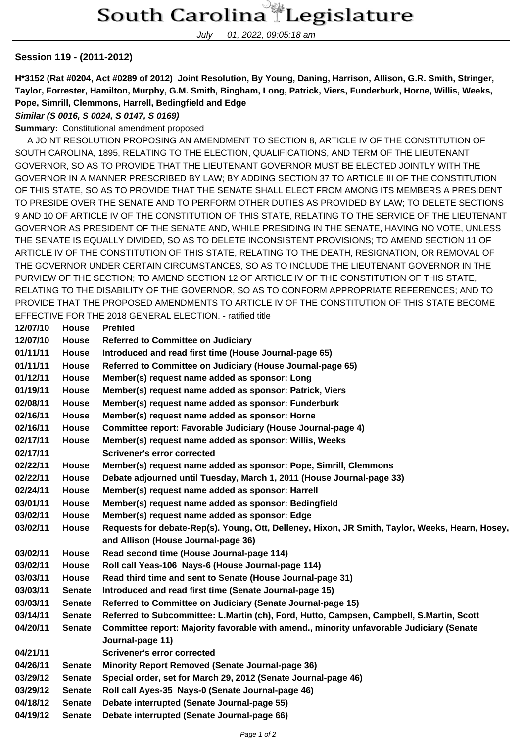July 01, 2022, 09:05:18 am

## **Session 119 - (2011-2012)**

**H\*3152 (Rat #0204, Act #0289 of 2012) Joint Resolution, By Young, Daning, Harrison, Allison, G.R. Smith, Stringer, Taylor, Forrester, Hamilton, Murphy, G.M. Smith, Bingham, Long, Patrick, Viers, Funderburk, Horne, Willis, Weeks, Pope, Simrill, Clemmons, Harrell, Bedingfield and Edge**

**Similar (S 0016, S 0024, S 0147, S 0169)**

**Summary:** Constitutional amendment proposed

 A JOINT RESOLUTION PROPOSING AN AMENDMENT TO SECTION 8, ARTICLE IV OF THE CONSTITUTION OF SOUTH CAROLINA, 1895, RELATING TO THE ELECTION, QUALIFICATIONS, AND TERM OF THE LIEUTENANT GOVERNOR, SO AS TO PROVIDE THAT THE LIEUTENANT GOVERNOR MUST BE ELECTED JOINTLY WITH THE GOVERNOR IN A MANNER PRESCRIBED BY LAW; BY ADDING SECTION 37 TO ARTICLE III OF THE CONSTITUTION OF THIS STATE, SO AS TO PROVIDE THAT THE SENATE SHALL ELECT FROM AMONG ITS MEMBERS A PRESIDENT TO PRESIDE OVER THE SENATE AND TO PERFORM OTHER DUTIES AS PROVIDED BY LAW; TO DELETE SECTIONS 9 AND 10 OF ARTICLE IV OF THE CONSTITUTION OF THIS STATE, RELATING TO THE SERVICE OF THE LIEUTENANT GOVERNOR AS PRESIDENT OF THE SENATE AND, WHILE PRESIDING IN THE SENATE, HAVING NO VOTE, UNLESS THE SENATE IS EQUALLY DIVIDED, SO AS TO DELETE INCONSISTENT PROVISIONS; TO AMEND SECTION 11 OF ARTICLE IV OF THE CONSTITUTION OF THIS STATE, RELATING TO THE DEATH, RESIGNATION, OR REMOVAL OF THE GOVERNOR UNDER CERTAIN CIRCUMSTANCES, SO AS TO INCLUDE THE LIEUTENANT GOVERNOR IN THE PURVIEW OF THE SECTION; TO AMEND SECTION 12 OF ARTICLE IV OF THE CONSTITUTION OF THIS STATE, RELATING TO THE DISABILITY OF THE GOVERNOR, SO AS TO CONFORM APPROPRIATE REFERENCES; AND TO PROVIDE THAT THE PROPOSED AMENDMENTS TO ARTICLE IV OF THE CONSTITUTION OF THIS STATE BECOME EFFECTIVE FOR THE 2018 GENERAL ELECTION. - ratified title

| 12/07/10 | <b>House</b>  | <b>Prefiled</b>                                                                                 |
|----------|---------------|-------------------------------------------------------------------------------------------------|
| 12/07/10 | House         | <b>Referred to Committee on Judiciary</b>                                                       |
| 01/11/11 | House         | Introduced and read first time (House Journal-page 65)                                          |
| 01/11/11 | House         | Referred to Committee on Judiciary (House Journal-page 65)                                      |
| 01/12/11 | <b>House</b>  | Member(s) request name added as sponsor: Long                                                   |
| 01/19/11 | House         | Member(s) request name added as sponsor: Patrick, Viers                                         |
| 02/08/11 | House         | Member(s) request name added as sponsor: Funderburk                                             |
| 02/16/11 | House         | Member(s) request name added as sponsor: Horne                                                  |
| 02/16/11 | House         | Committee report: Favorable Judiciary (House Journal-page 4)                                    |
| 02/17/11 | House         | Member(s) request name added as sponsor: Willis, Weeks                                          |
| 02/17/11 |               | <b>Scrivener's error corrected</b>                                                              |
| 02/22/11 | <b>House</b>  | Member(s) request name added as sponsor: Pope, Simrill, Clemmons                                |
| 02/22/11 | House         | Debate adjourned until Tuesday, March 1, 2011 (House Journal-page 33)                           |
| 02/24/11 | House         | Member(s) request name added as sponsor: Harrell                                                |
| 03/01/11 | House         | Member(s) request name added as sponsor: Bedingfield                                            |
| 03/02/11 | <b>House</b>  | Member(s) request name added as sponsor: Edge                                                   |
| 03/02/11 | House         | Requests for debate-Rep(s). Young, Ott, Delleney, Hixon, JR Smith, Taylor, Weeks, Hearn, Hosey, |
|          |               | and Allison (House Journal-page 36)                                                             |
| 03/02/11 | <b>House</b>  | Read second time (House Journal-page 114)                                                       |
| 03/02/11 | House         | Roll call Yeas-106 Nays-6 (House Journal-page 114)                                              |
| 03/03/11 | <b>House</b>  | Read third time and sent to Senate (House Journal-page 31)                                      |
| 03/03/11 | <b>Senate</b> | Introduced and read first time (Senate Journal-page 15)                                         |
| 03/03/11 | <b>Senate</b> | Referred to Committee on Judiciary (Senate Journal-page 15)                                     |
| 03/14/11 | <b>Senate</b> | Referred to Subcommittee: L.Martin (ch), Ford, Hutto, Campsen, Campbell, S.Martin, Scott        |
| 04/20/11 | <b>Senate</b> | Committee report: Majority favorable with amend., minority unfavorable Judiciary (Senate        |
|          |               | Journal-page 11)                                                                                |
| 04/21/11 |               | <b>Scrivener's error corrected</b>                                                              |
| 04/26/11 | <b>Senate</b> | Minority Report Removed (Senate Journal-page 36)                                                |
| 03/29/12 | <b>Senate</b> | Special order, set for March 29, 2012 (Senate Journal-page 46)                                  |
| 03/29/12 | <b>Senate</b> | Roll call Ayes-35 Nays-0 (Senate Journal-page 46)                                               |
| 04/18/12 | <b>Senate</b> | Debate interrupted (Senate Journal-page 55)                                                     |
| 04/19/12 | <b>Senate</b> | Debate interrupted (Senate Journal-page 66)                                                     |